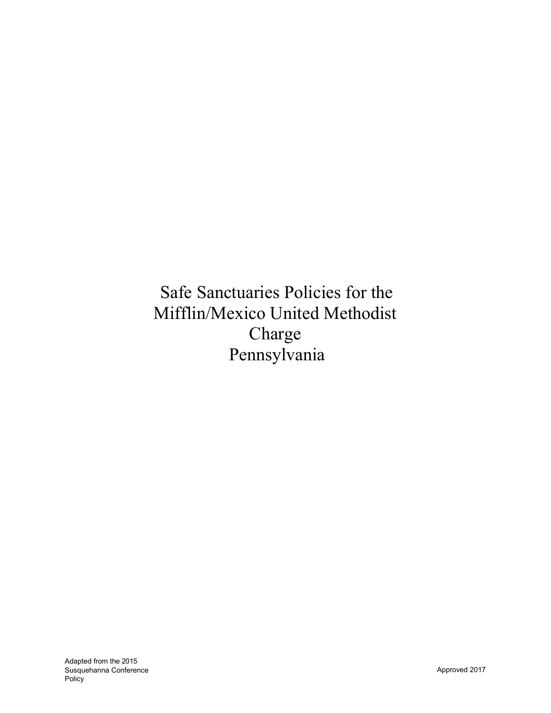Safe Sanctuaries Policies for the Mifflin/Mexico United Methodist Charge Pennsylvania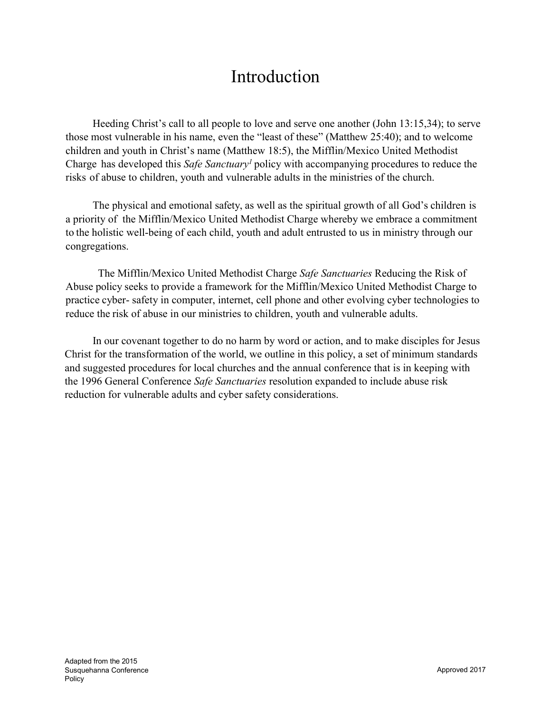# Introduction

Heeding Christ's call to all people to love and serve one another (John 13:15,34); to serve those most vulnerable in his name, even the "least of these" (Matthew 25:40); and to welcome children and youth in Christ's name (Matthew 18:5), the Mifflin/Mexico United Methodist Charge has developed this *Safe Sanctuary1* policy with accompanying procedures to reduce the risks of abuse to children, youth and vulnerable adults in the ministries of the church.

The physical and emotional safety, as well as the spiritual growth of all God's children is a priority of the Mifflin/Mexico United Methodist Charge whereby we embrace a commitment to the holistic well-being of each child, youth and adult entrusted to us in ministry through our congregations.

The Mifflin/Mexico United Methodist Charge *Safe Sanctuaries* Reducing the Risk of Abuse policy seeks to provide a framework for the Mifflin/Mexico United Methodist Charge to practice cyber- safety in computer, internet, cell phone and other evolving cyber technologies to reduce the risk of abuse in our ministries to children, youth and vulnerable adults.

In our covenant together to do no harm by word or action, and to make disciples for Jesus Christ for the transformation of the world, we outline in this policy, a set of minimum standards and suggested procedures for local churches and the annual conference that is in keeping with the 1996 General Conference *Safe Sanctuaries* resolution expanded to include abuse risk reduction for vulnerable adults and cyber safety considerations.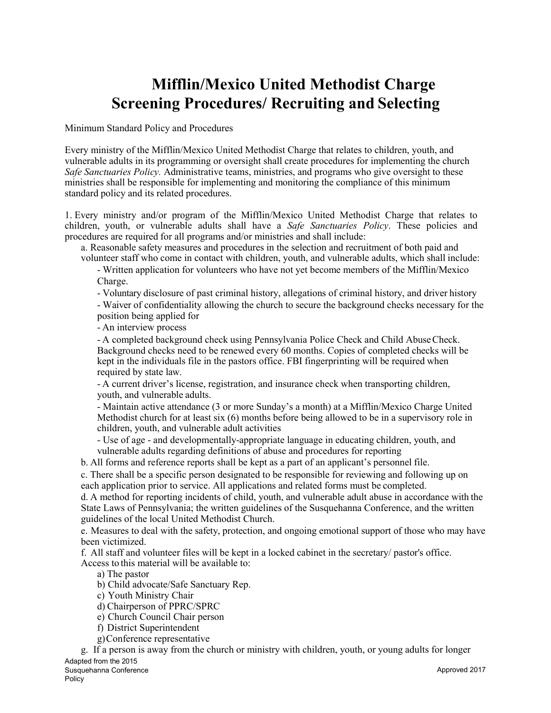# Mifflin/Mexico United Methodist Charge Screening Procedures/ Recruiting and Selecting

Minimum Standard Policy and Procedures

Every ministry of the Mifflin/Mexico United Methodist Charge that relates to children, youth, and vulnerable adults in its programming or oversight shall create procedures for implementing the church *Safe Sanctuaries Policy.* Administrative teams, ministries, and programs who give oversight to these ministries shall be responsible for implementing and monitoring the compliance of this minimum standard policy and its related procedures.

1. Every ministry and/or program of the Mifflin/Mexico United Methodist Charge that relates to children, youth, or vulnerable adults shall have a *Safe Sanctuaries Policy*. These policies and procedures are required for all programs and/or ministries and shall include:

a. Reasonable safety measures and procedures in the selection and recruitment of both paid and volunteer staff who come in contact with children, youth, and vulnerable adults, which shall include:

- Written application for volunteers who have not yet become members of the Mifflin/Mexico Charge.

- Voluntary disclosure of past criminal history, allegations of criminal history, and driver history

- Waiver of confidentiality allowing the church to secure the background checks necessary for the position being applied for

- An interview process

- A completed background check using Pennsylvania Police Check and Child AbuseCheck. Background checks need to be renewed every 60 months. Copies of completed checks will be kept in the individuals file in the pastors office. FBI fingerprinting will be required when required by state law.

- A current driver's license, registration, and insurance check when transporting children, youth, and vulnerable adults.

- Maintain active attendance (3 or more Sunday's a month) at a Mifflin/Mexico Charge United Methodist church for at least six (6) months before being allowed to be in a supervisory role in children, youth, and vulnerable adult activities

- Use of age - and developmentally-appropriate language in educating children, youth, and vulnerable adults regarding definitions of abuse and procedures for reporting

b. All forms and reference reports shall be kept as a part of an applicant's personnel file.

c. There shall be a specific person designated to be responsible for reviewing and following up on each application prior to service. All applications and related forms must be completed.

d. A method for reporting incidents of child, youth, and vulnerable adult abuse in accordance with the State Laws of Pennsylvania; the written guidelines of the Susquehanna Conference, and the written guidelines of the local United Methodist Church.

e. Measures to deal with the safety, protection, and ongoing emotional support of those who may have been victimized.

f. All staff and volunteer files will be kept in a locked cabinet in the secretary/ pastor's office.

Access to this material will be available to:

a) The pastor

b) Child advocate/Safe Sanctuary Rep.

c) Youth Ministry Chair

d) Chairperson of PPRC/SPRC

e) Church Council Chair person

f) District Superintendent

g)Conference representative

g. If a person is away from the church or ministry with children, youth, or young adults for longer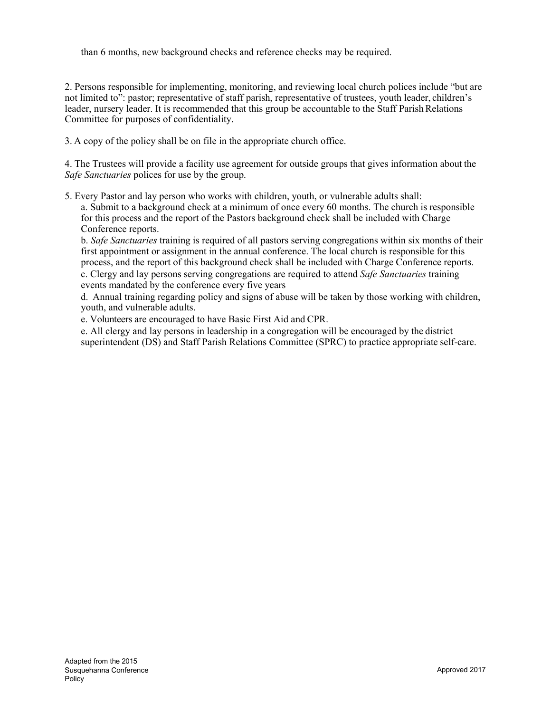than 6 months, new background checks and reference checks may be required.

2. Persons responsible for implementing, monitoring, and reviewing local church polices include "but are not limited to": pastor; representative of staff parish, representative of trustees, youth leader, children's leader, nursery leader. It is recommended that this group be accountable to the Staff Parish Relations Committee for purposes of confidentiality.

3. A copy of the policy shall be on file in the appropriate church office.

4. The Trustees will provide a facility use agreement for outside groups that gives information about the *Safe Sanctuaries* polices for use by the group.

5. Every Pastor and lay person who works with children, youth, or vulnerable adults shall: a. Submit to a background check at a minimum of once every 60 months. The church is responsible for this process and the report of the Pastors background check shall be included with Charge Conference reports.

b. *Safe Sanctuaries* training is required of all pastors serving congregations within six months of their first appointment or assignment in the annual conference. The local church is responsible for this process, and the report of this background check shall be included with Charge Conference reports.

c. Clergy and lay persons serving congregations are required to attend *Safe Sanctuaries* training events mandated by the conference every five years

d. Annual training regarding policy and signs of abuse will be taken by those working with children, youth, and vulnerable adults.

e. Volunteers are encouraged to have Basic First Aid and CPR.

e. All clergy and lay persons in leadership in a congregation will be encouraged by the district superintendent (DS) and Staff Parish Relations Committee (SPRC) to practice appropriate self-care.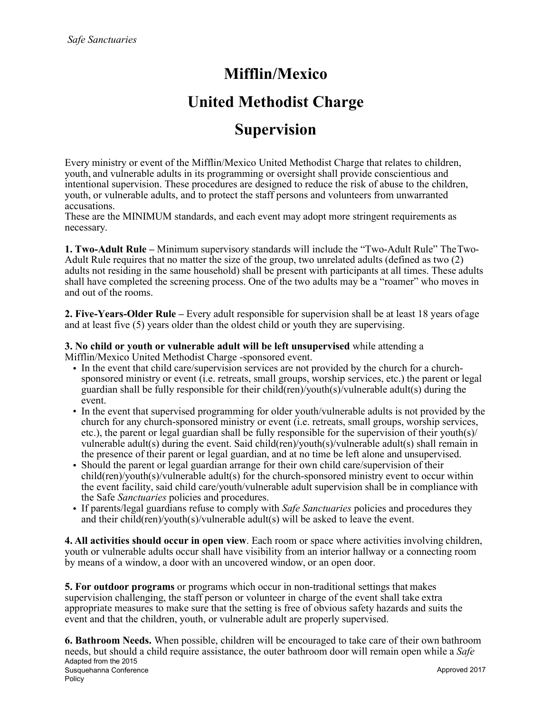## Mifflin/Mexico

## United Methodist Charge

## Supervision

Every ministry or event of the Mifflin/Mexico United Methodist Charge that relates to children, youth, and vulnerable adults in its programming or oversight shall provide conscientious and intentional supervision. These procedures are designed to reduce the risk of abuse to the children, youth, or vulnerable adults, and to protect the staff persons and volunteers from unwarranted accusations.

These are the MINIMUM standards, and each event may adopt more stringent requirements as necessary.

1. Two-Adult Rule – Minimum supervisory standards will include the "Two-Adult Rule" TheTwo-Adult Rule requires that no matter the size of the group, two unrelated adults (defined as two (2) adults not residing in the same household) shall be present with participants at all times. These adults shall have completed the screening process. One of the two adults may be a "roamer" who moves in and out of the rooms.

2. Five-Years-Older Rule – Every adult responsible for supervision shall be at least 18 years ofage and at least five (5) years older than the oldest child or youth they are supervising.

3. No child or youth or vulnerable adult will be left unsupervised while attending a Mifflin/Mexico United Methodist Charge -sponsored event.

- In the event that child care/supervision services are not provided by the church for a churchsponsored ministry or event (i.e. retreats, small groups, worship services, etc.) the parent or legal guardian shall be fully responsible for their child(ren)/youth(s)/vulnerable adult(s) during the event.
- In the event that supervised programming for older youth/vulnerable adults is not provided by the church for any church-sponsored ministry or event (i.e. retreats, small groups, worship services, etc.), the parent or legal guardian shall be fully responsible for the supervision of their youth(s)/ vulnerable adult(s) during the event. Said child(ren)/youth(s)/vulnerable adult(s) shall remain in the presence of their parent or legal guardian, and at no time be left alone and unsupervised.
- Should the parent or legal guardian arrange for their own child care/supervision of their child(ren)/youth(s)/vulnerable adult(s) for the church-sponsored ministry event to occur within the event facility, said child care/youth/vulnerable adult supervision shall be in compliance with the Safe *Sanctuaries* policies and procedures.
- If parents/legal guardians refuse to comply with *Safe Sanctuaries* policies and procedures they and their child(ren)/youth(s)/vulnerable adult(s) will be asked to leave the event.

4. All activities should occur in open view. Each room or space where activities involving children, youth or vulnerable adults occur shall have visibility from an interior hallway or a connecting room by means of a window, a door with an uncovered window, or an open door.

5. For outdoor programs or programs which occur in non-traditional settings that makes supervision challenging, the staff person or volunteer in charge of the event shall take extra appropriate measures to make sure that the setting is free of obvious safety hazards and suits the event and that the children, youth, or vulnerable adult are properly supervised.

Adapted from the 2015 Susquehanna Conference Policy Approved 2017 6. Bathroom Needs. When possible, children will be encouraged to take care of their own bathroom needs, but should a child require assistance, the outer bathroom door will remain open while a *Safe*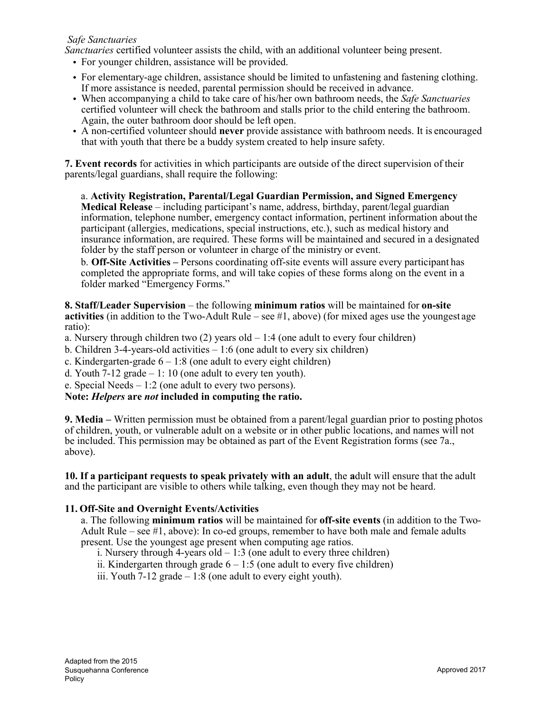#### *Safe Sanctuaries*

*Sanctuaries* certified volunteer assists the child, with an additional volunteer being present.

- For younger children, assistance will be provided.
- For elementary-age children, assistance should be limited to unfastening and fastening clothing. If more assistance is needed, parental permission should be received in advance.
- When accompanying a child to take care of his/her own bathroom needs, the *Safe Sanctuaries*  certified volunteer will check the bathroom and stalls prior to the child entering the bathroom. Again, the outer bathroom door should be left open.
- A non-certified volunteer should never provide assistance with bathroom needs. It is encouraged that with youth that there be a buddy system created to help insure safety.

7. Event records for activities in which participants are outside of the direct supervision of their parents/legal guardians, shall require the following:

a. Activity Registration, Parental/Legal Guardian Permission, and Signed Emergency Medical Release – including participant's name, address, birthday, parent/legal guardian information, telephone number, emergency contact information, pertinent information about the participant (allergies, medications, special instructions, etc.), such as medical history and insurance information, are required. These forms will be maintained and secured in a designated folder by the staff person or volunteer in charge of the ministry or event.

b. Off-Site Activities – Persons coordinating off-site events will assure every participant has completed the appropriate forms, and will take copies of these forms along on the event in a folder marked "Emergency Forms."

8. Staff/Leader Supervision – the following minimum ratios will be maintained for on-site activities (in addition to the Two-Adult Rule – see  $\#1$ , above) (for mixed ages use the youngest age ratio):

a. Nursery through children two  $(2)$  years old  $-1.4$  (one adult to every four children)

- b. Children 3-4-years-old activities  $-1:6$  (one adult to every six children)
- c. Kindergarten-grade  $6 1:8$  (one adult to every eight children)
- d. Youth 7-12 grade  $-1$ : 10 (one adult to every ten youth).

e. Special Needs – 1:2 (one adult to every two persons).

#### Note: *Helpers* are *not* included in computing the ratio.

9. Media – Written permission must be obtained from a parent/legal guardian prior to posting photos of children, youth, or vulnerable adult on a website or in other public locations, and names will not be included. This permission may be obtained as part of the Event Registration forms (see 7a., above).

10. If a participant requests to speak privately with an adult, the adult will ensure that the adult and the participant are visible to others while talking, even though they may not be heard.

#### 11. Off-Site and Overnight Events/Activities

a. The following **minimum ratios** will be maintained for **off-site events** (in addition to the Two-Adult Rule – see  $\#1$ , above): In co-ed groups, remember to have both male and female adults present. Use the youngest age present when computing age ratios.

i. Nursery through 4-years old  $-1:3$  (one adult to every three children)

ii. Kindergarten through grade  $6 - 1:5$  (one adult to every five children)

iii. Youth  $7-12$  grade  $-1:8$  (one adult to every eight youth).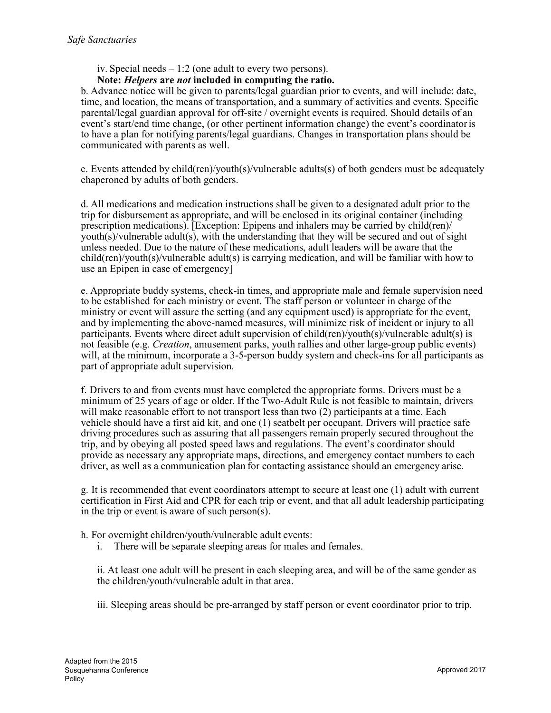iv. Special needs – 1:2 (one adult to every two persons).

#### Note: *Helpers* are *not* included in computing the ratio.

b. Advance notice will be given to parents/legal guardian prior to events, and will include: date, time, and location, the means of transportation, and a summary of activities and events. Specific parental/legal guardian approval for off-site / overnight events is required. Should details of an event's start/end time change, (or other pertinent information change) the event's coordinatoris to have a plan for notifying parents/legal guardians. Changes in transportation plans should be communicated with parents as well.

c. Events attended by child(ren)/youth(s)/vulnerable adults(s) of both genders must be adequately chaperoned by adults of both genders.

d. All medications and medication instructions shall be given to a designated adult prior to the trip for disbursement as appropriate, and will be enclosed in its original container (including prescription medications). [Exception: Epipens and inhalers may be carried by child(ren)/ youth(s)/vulnerable adult(s), with the understanding that they will be secured and out of sight unless needed. Due to the nature of these medications, adult leaders will be aware that the child(ren)/youth(s)/vulnerable adult(s) is carrying medication, and will be familiar with how to use an Epipen in case of emergency]

e. Appropriate buddy systems, check-in times, and appropriate male and female supervision need to be established for each ministry or event. The staff person or volunteer in charge of the ministry or event will assure the setting (and any equipment used) is appropriate for the event, and by implementing the above-named measures, will minimize risk of incident or injury to all participants. Events where direct adult supervision of child(ren)/youth(s)/vulnerable adult(s) is not feasible (e.g. *Creation*, amusement parks, youth rallies and other large-group public events) will, at the minimum, incorporate a 3-5-person buddy system and check-ins for all participants as part of appropriate adult supervision.

f. Drivers to and from events must have completed the appropriate forms. Drivers must be a minimum of 25 years of age or older. If the Two-Adult Rule is not feasible to maintain, drivers will make reasonable effort to not transport less than two (2) participants at a time. Each vehicle should have a first aid kit, and one (1) seatbelt per occupant. Drivers will practice safe driving procedures such as assuring that all passengers remain properly secured throughout the trip, and by obeying all posted speed laws and regulations. The event's coordinator should provide as necessary any appropriate maps, directions, and emergency contact numbers to each driver, as well as a communication plan for contacting assistance should an emergency arise.

g. It is recommended that event coordinators attempt to secure at least one (1) adult with current certification in First Aid and CPR for each trip or event, and that all adult leadership participating in the trip or event is aware of such person(s).

h. For overnight children/youth/vulnerable adult events:

i. There will be separate sleeping areas for males and females.

ii. At least one adult will be present in each sleeping area, and will be of the same gender as the children/youth/vulnerable adult in that area.

iii. Sleeping areas should be pre-arranged by staff person or event coordinator prior to trip.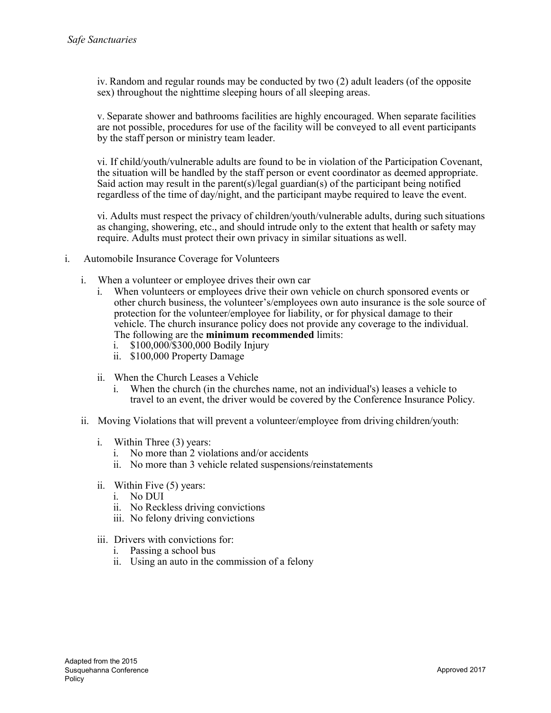iv. Random and regular rounds may be conducted by two (2) adult leaders (of the opposite sex) throughout the nighttime sleeping hours of all sleeping areas.

v. Separate shower and bathrooms facilities are highly encouraged. When separate facilities are not possible, procedures for use of the facility will be conveyed to all event participants by the staff person or ministry team leader.

vi. If child/youth/vulnerable adults are found to be in violation of the Participation Covenant, the situation will be handled by the staff person or event coordinator as deemed appropriate. Said action may result in the parent(s)/legal guardian(s) of the participant being notified regardless of the time of day/night, and the participant maybe required to leave the event.

vi. Adults must respect the privacy of children/youth/vulnerable adults, during such situations as changing, showering, etc., and should intrude only to the extent that health or safety may require. Adults must protect their own privacy in similar situations as well.

- i. Automobile Insurance Coverage for Volunteers
	- i. When a volunteer or employee drives their own car
		- i. When volunteers or employees drive their own vehicle on church sponsored events or other church business, the volunteer's/employees own auto insurance is the sole source of protection for the volunteer/employee for liability, or for physical damage to their vehicle. The church insurance policy does not provide any coverage to the individual. The following are the minimum recommended limits:
			- i. \$100,000/\$300,000 Bodily Injury
			- ii. \$100,000 Property Damage
		- ii. When the Church Leases a Vehicle
			- i. When the church (in the churches name, not an individual's) leases a vehicle to travel to an event, the driver would be covered by the Conference Insurance Policy.
	- ii. Moving Violations that will prevent a volunteer/employee from driving children/youth:
		- i. Within Three (3) years:
			- i. No more than 2 violations and/or accidents
			- ii. No more than 3 vehicle related suspensions/reinstatements
		- ii. Within Five (5) years:
			- i. No DUI
			- ii. No Reckless driving convictions
			- iii. No felony driving convictions
		- iii. Drivers with convictions for:
			- i. Passing a school bus
			- ii. Using an auto in the commission of a felony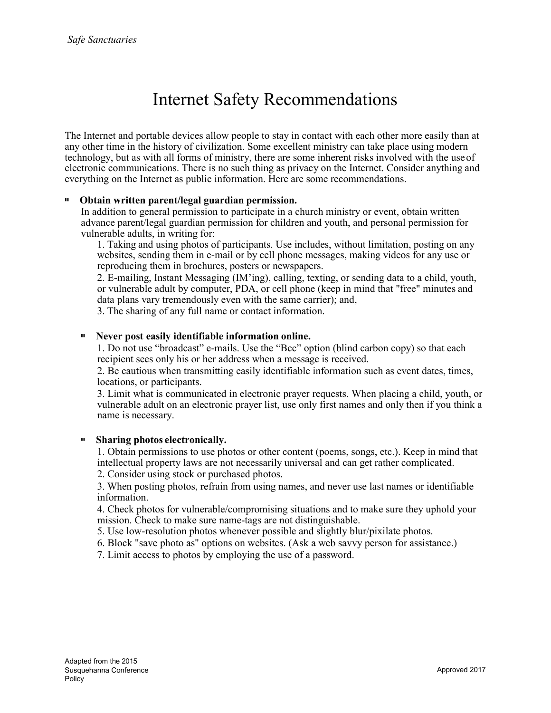# Internet Safety Recommendations

The Internet and portable devices allow people to stay in contact with each other more easily than at any other time in the history of civilization. Some excellent ministry can take place using modern technology, but as with all forms of ministry, there are some inherent risks involved with the useof electronic communications. There is no such thing as privacy on the Internet. Consider anything and everything on the Internet as public information. Here are some recommendations.

#### Obtain written parent/legal guardian permission.

In addition to general permission to participate in a church ministry or event, obtain written advance parent/legal guardian permission for children and youth, and personal permission for vulnerable adults, in writing for:

1. Taking and using photos of participants. Use includes, without limitation, posting on any websites, sending them in e-mail or by cell phone messages, making videos for any use or reproducing them in brochures, posters or newspapers.

2. E-mailing, Instant Messaging (IM'ing), calling, texting, or sending data to a child, youth, or vulnerable adult by computer, PDA, or cell phone (keep in mind that "free" minutes and data plans vary tremendously even with the same carrier); and,

3. The sharing of any full name or contact information.

#### Never post easily identifiable information online.

1. Do not use "broadcast" e-mails. Use the "Bcc" option (blind carbon copy) so that each recipient sees only his or her address when a message is received.

2. Be cautious when transmitting easily identifiable information such as event dates, times, locations, or participants.

3. Limit what is communicated in electronic prayer requests. When placing a child, youth, or vulnerable adult on an electronic prayer list, use only first names and only then if you think a name is necessary.

#### Sharing photos electronically.

1. Obtain permissions to use photos or other content (poems, songs, etc.). Keep in mind that intellectual property laws are not necessarily universal and can get rather complicated.

2. Consider using stock or purchased photos.

3. When posting photos, refrain from using names, and never use last names or identifiable information.

4. Check photos for vulnerable/compromising situations and to make sure they uphold your mission. Check to make sure name-tags are not distinguishable.

5. Use low-resolution photos whenever possible and slightly blur/pixilate photos.

6. Block "save photo as" options on websites. (Ask a web savvy person for assistance.)

7. Limit access to photos by employing the use of a password.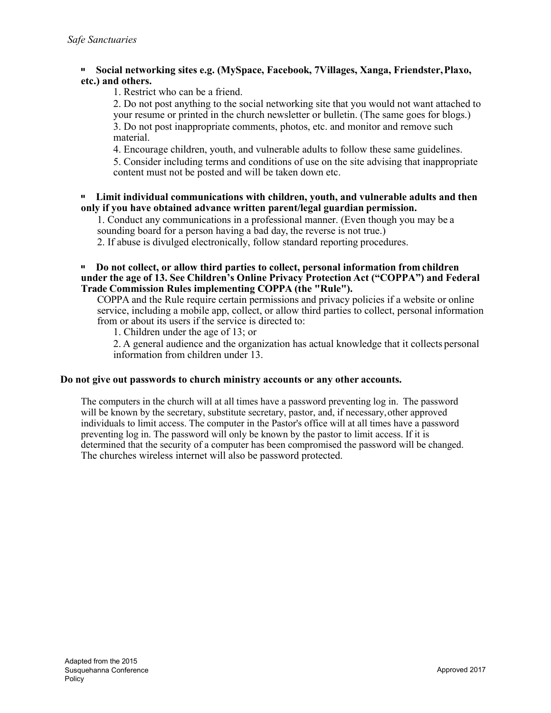#### Social networking sites e.g. (MySpace, Facebook, 7Villages, Xanga, Friendster,Plaxo, etc.) and others.

1. Restrict who can be a friend.

2. Do not post anything to the social networking site that you would not want attached to your resume or printed in the church newsletter or bulletin. (The same goes for blogs.) 3. Do not post inappropriate comments, photos, etc. and monitor and remove such material.

4. Encourage children, youth, and vulnerable adults to follow these same guidelines.

5. Consider including terms and conditions of use on the site advising that inappropriate content must not be posted and will be taken down etc.

#### Limit individual communications with children, youth, and vulnerable adults and then only if you have obtained advance written parent/legal guardian permission.

1. Conduct any communications in a professional manner. (Even though you may be a sounding board for a person having a bad day, the reverse is not true.)

2. If abuse is divulged electronically, follow standard reporting procedures.

#### Do not collect, or allow third parties to collect, personal information from children under the age of 13. See Children's Online Privacy Protection Act ("COPPA") and Federal Trade Commission Rules implementing COPPA (the "Rule").

COPPA and the Rule require certain permissions and privacy policies if a website or online service, including a mobile app, collect, or allow third parties to collect, personal information from or about its users if the service is directed to:

1. Children under the age of 13; or

2. A general audience and the organization has actual knowledge that it collects personal information from children under 13.

#### Do not give out passwords to church ministry accounts or any other accounts.

The computers in the church will at all times have a password preventing log in. The password will be known by the secretary, substitute secretary, pastor, and, if necessary, other approved individuals to limit access. The computer in the Pastor's office will at all times have a password preventing log in. The password will only be known by the pastor to limit access. If it is determined that the security of a computer has been compromised the password will be changed. The churches wireless internet will also be password protected.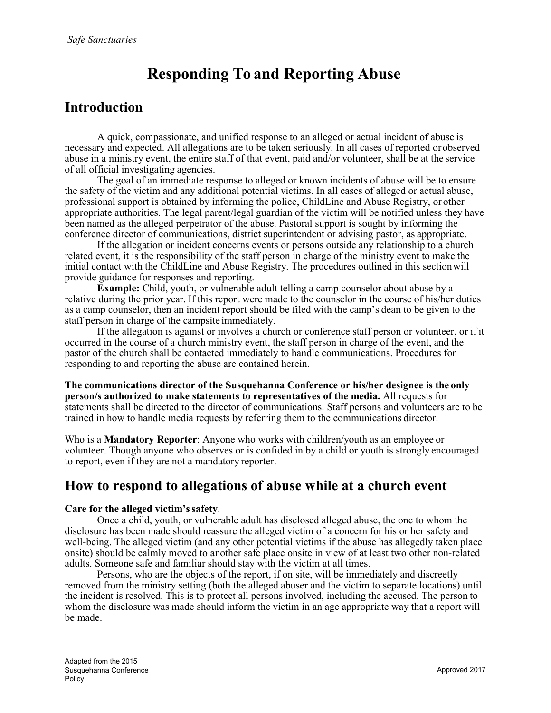# Responding To and Reporting Abuse

### Introduction

A quick, compassionate, and unified response to an alleged or actual incident of abuse is necessary and expected. All allegations are to be taken seriously. In all cases of reported orobserved abuse in a ministry event, the entire staff of that event, paid and/or volunteer, shall be at the service of all official investigating agencies.

The goal of an immediate response to alleged or known incidents of abuse will be to ensure the safety of the victim and any additional potential victims. In all cases of alleged or actual abuse, professional support is obtained by informing the police, ChildLine and Abuse Registry, or other appropriate authorities. The legal parent/legal guardian of the victim will be notified unless they have been named as the alleged perpetrator of the abuse. Pastoral support is sought by informing the conference director of communications, district superintendent or advising pastor, as appropriate.

If the allegation or incident concerns events or persons outside any relationship to a church related event, it is the responsibility of the staff person in charge of the ministry event to make the initial contact with the ChildLine and Abuse Registry. The procedures outlined in this sectionwill provide guidance for responses and reporting.

Example: Child, youth, or vulnerable adult telling a camp counselor about abuse by a relative during the prior year. If this report were made to the counselor in the course of his/her duties as a camp counselor, then an incident report should be filed with the camp's dean to be given to the staff person in charge of the campsite immediately.

If the allegation is against or involves a church or conference staff person or volunteer, or if it occurred in the course of a church ministry event, the staff person in charge of the event, and the pastor of the church shall be contacted immediately to handle communications. Procedures for responding to and reporting the abuse are contained herein.

The communications director of the Susquehanna Conference or his/her designee is the only person/s authorized to make statements to representatives of the media. All requests for statements shall be directed to the director of communications. Staff persons and volunteers are to be trained in how to handle media requests by referring them to the communications director.

Who is a Mandatory Reporter: Anyone who works with children/youth as an employee or volunteer. Though anyone who observes or is confided in by a child or youth is strongly encouraged to report, even if they are not a mandatory reporter.

### How to respond to allegations of abuse while at a church event

#### Care for the alleged victim's safety.

Once a child, youth, or vulnerable adult has disclosed alleged abuse, the one to whom the disclosure has been made should reassure the alleged victim of a concern for his or her safety and well-being. The alleged victim (and any other potential victims if the abuse has allegedly taken place onsite) should be calmly moved to another safe place onsite in view of at least two other non-related adults. Someone safe and familiar should stay with the victim at all times.

Persons, who are the objects of the report, if on site, will be immediately and discreetly removed from the ministry setting (both the alleged abuser and the victim to separate locations) until the incident is resolved. This is to protect all persons involved, including the accused. The person to whom the disclosure was made should inform the victim in an age appropriate way that a report will be made.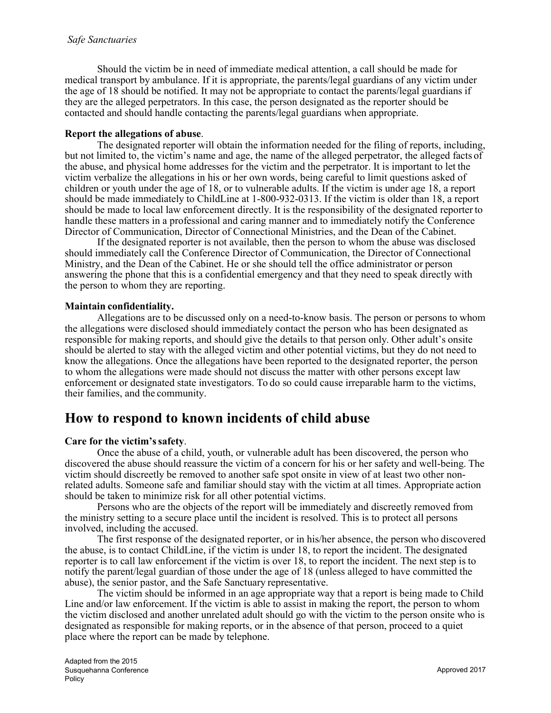Should the victim be in need of immediate medical attention, a call should be made for medical transport by ambulance. If it is appropriate, the parents/legal guardians of any victim under the age of 18 should be notified. It may not be appropriate to contact the parents/legal guardians if they are the alleged perpetrators. In this case, the person designated as the reporter should be contacted and should handle contacting the parents/legal guardians when appropriate.

#### Report the allegations of abuse.

The designated reporter will obtain the information needed for the filing of reports, including, but not limited to, the victim's name and age, the name of the alleged perpetrator, the alleged facts of the abuse, and physical home addresses for the victim and the perpetrator. It is important to let the victim verbalize the allegations in his or her own words, being careful to limit questions asked of children or youth under the age of 18, or to vulnerable adults. If the victim is under age 18, a report should be made immediately to ChildLine at 1-800-932-0313. If the victim is older than 18, a report should be made to local law enforcement directly. It is the responsibility of the designated reporter to handle these matters in a professional and caring manner and to immediately notify the Conference Director of Communication, Director of Connectional Ministries, and the Dean of the Cabinet.

If the designated reporter is not available, then the person to whom the abuse was disclosed should immediately call the Conference Director of Communication, the Director of Connectional Ministry, and the Dean of the Cabinet. He or she should tell the office administrator or person answering the phone that this is a confidential emergency and that they need to speak directly with the person to whom they are reporting.

#### Maintain confidentiality.

Allegations are to be discussed only on a need-to-know basis. The person or persons to whom the allegations were disclosed should immediately contact the person who has been designated as responsible for making reports, and should give the details to that person only. Other adult's onsite should be alerted to stay with the alleged victim and other potential victims, but they do not need to know the allegations. Once the allegations have been reported to the designated reporter, the person to whom the allegations were made should not discuss the matter with other persons except law enforcement or designated state investigators. To do so could cause irreparable harm to the victims, their families, and the community.

### How to respond to known incidents of child abuse

#### Care for the victim's safety.

Once the abuse of a child, youth, or vulnerable adult has been discovered, the person who discovered the abuse should reassure the victim of a concern for his or her safety and well-being. The victim should discreetly be removed to another safe spot onsite in view of at least two other nonrelated adults. Someone safe and familiar should stay with the victim at all times. Appropriate action should be taken to minimize risk for all other potential victims.

Persons who are the objects of the report will be immediately and discreetly removed from the ministry setting to a secure place until the incident is resolved. This is to protect all persons involved, including the accused.

The first response of the designated reporter, or in his/her absence, the person who discovered the abuse, is to contact ChildLine, if the victim is under 18, to report the incident. The designated reporter is to call law enforcement if the victim is over 18, to report the incident. The next step is to notify the parent/legal guardian of those under the age of 18 (unless alleged to have committed the abuse), the senior pastor, and the Safe Sanctuary representative.

The victim should be informed in an age appropriate way that a report is being made to Child Line and/or law enforcement. If the victim is able to assist in making the report, the person to whom the victim disclosed and another unrelated adult should go with the victim to the person onsite who is designated as responsible for making reports, or in the absence of that person, proceed to a quiet place where the report can be made by telephone.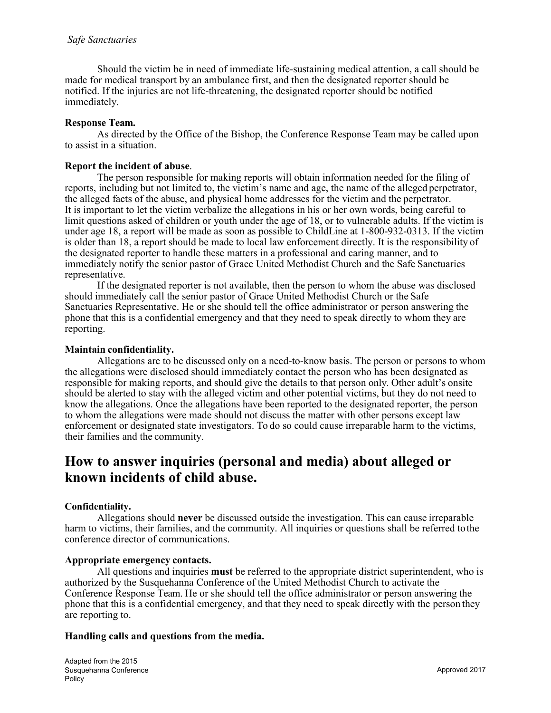Should the victim be in need of immediate life-sustaining medical attention, a call should be made for medical transport by an ambulance first, and then the designated reporter should be notified. If the injuries are not life-threatening, the designated reporter should be notified immediately.

#### Response Team.

As directed by the Office of the Bishop, the Conference Response Team may be called upon to assist in a situation.

#### Report the incident of abuse.

The person responsible for making reports will obtain information needed for the filing of reports, including but not limited to, the victim's name and age, the name of the alleged perpetrator, the alleged facts of the abuse, and physical home addresses for the victim and the perpetrator. It is important to let the victim verbalize the allegations in his or her own words, being careful to limit questions asked of children or youth under the age of 18, or to vulnerable adults. If the victim is under age 18, a report will be made as soon as possible to ChildLine at 1-800-932-0313. If the victim is older than 18, a report should be made to local law enforcement directly. It is the responsibility of the designated reporter to handle these matters in a professional and caring manner, and to immediately notify the senior pastor of Grace United Methodist Church and the Safe Sanctuaries representative.

If the designated reporter is not available, then the person to whom the abuse was disclosed should immediately call the senior pastor of Grace United Methodist Church or the Safe Sanctuaries Representative. He or she should tell the office administrator or person answering the phone that this is a confidential emergency and that they need to speak directly to whom they are reporting.

#### Maintain confidentiality.

Allegations are to be discussed only on a need-to-know basis. The person or persons to whom the allegations were disclosed should immediately contact the person who has been designated as responsible for making reports, and should give the details to that person only. Other adult's onsite should be alerted to stay with the alleged victim and other potential victims, but they do not need to know the allegations. Once the allegations have been reported to the designated reporter, the person to whom the allegations were made should not discuss the matter with other persons except law enforcement or designated state investigators. To do so could cause irreparable harm to the victims, their families and the community.

### How to answer inquiries (personal and media) about alleged or known incidents of child abuse.

#### Confidentiality.

Allegations should never be discussed outside the investigation. This can cause irreparable harm to victims, their families, and the community. All inquiries or questions shall be referred tothe conference director of communications.

#### Appropriate emergency contacts.

All questions and inquiries must be referred to the appropriate district superintendent, who is authorized by the Susquehanna Conference of the United Methodist Church to activate the Conference Response Team. He or she should tell the office administrator or person answering the phone that this is a confidential emergency, and that they need to speak directly with the person they are reporting to.

#### Handling calls and questions from the media.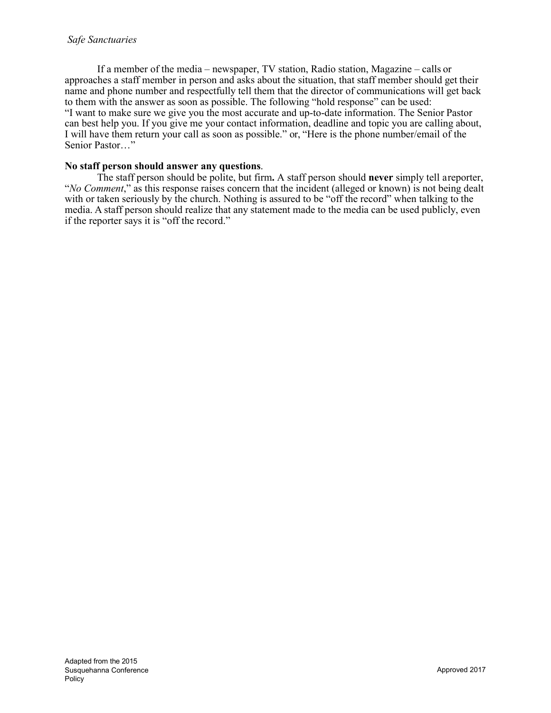If a member of the media – newspaper, TV station, Radio station, Magazine – calls or approaches a staff member in person and asks about the situation, that staff member should get their name and phone number and respectfully tell them that the director of communications will get back to them with the answer as soon as possible. The following "hold response" can be used: "I want to make sure we give you the most accurate and up-to-date information. The Senior Pastor can best help you. If you give me your contact information, deadline and topic you are calling about, I will have them return your call as soon as possible." or, "Here is the phone number/email of the Senior Pastor…"

#### No staff person should answer any questions.

The staff person should be polite, but firm. A staff person should never simply tell areporter, "*No Comment*," as this response raises concern that the incident (alleged or known) is not being dealt with or taken seriously by the church. Nothing is assured to be "off the record" when talking to the media. A staff person should realize that any statement made to the media can be used publicly, even if the reporter says it is "off the record."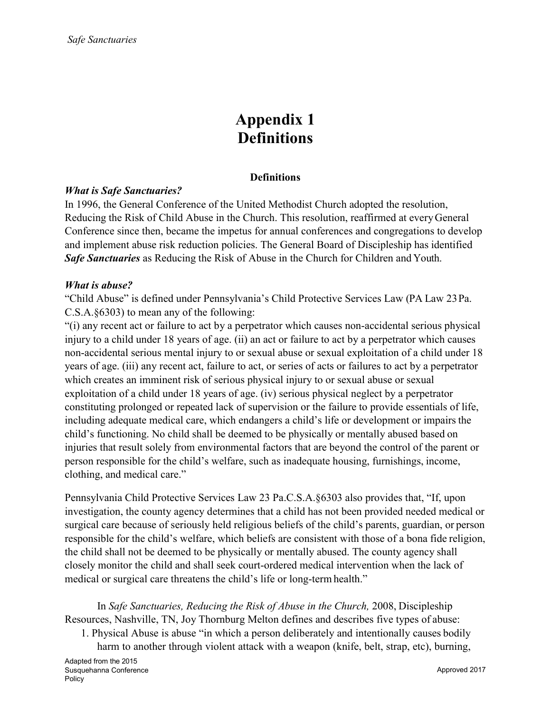## Appendix 1 **Definitions**

#### **Definitions**

#### *What is Safe Sanctuaries?*

In 1996, the General Conference of the United Methodist Church adopted the resolution, Reducing the Risk of Child Abuse in the Church. This resolution, reaffirmed at everyGeneral Conference since then, became the impetus for annual conferences and congregations to develop and implement abuse risk reduction policies. The General Board of Discipleship has identified *Safe Sanctuaries* as Reducing the Risk of Abuse in the Church for Children and Youth.

#### *What is abuse?*

"Child Abuse" is defined under Pennsylvania's Child Protective Services Law (PA Law 23Pa. C.S.A.§6303) to mean any of the following:

"(i) any recent act or failure to act by a perpetrator which causes non-accidental serious physical injury to a child under 18 years of age. (ii) an act or failure to act by a perpetrator which causes non-accidental serious mental injury to or sexual abuse or sexual exploitation of a child under 18 years of age. (iii) any recent act, failure to act, or series of acts or failures to act by a perpetrator which creates an imminent risk of serious physical injury to or sexual abuse or sexual exploitation of a child under 18 years of age. (iv) serious physical neglect by a perpetrator constituting prolonged or repeated lack of supervision or the failure to provide essentials of life, including adequate medical care, which endangers a child's life or development or impairs the child's functioning. No child shall be deemed to be physically or mentally abused based on injuries that result solely from environmental factors that are beyond the control of the parent or person responsible for the child's welfare, such as inadequate housing, furnishings, income, clothing, and medical care."

Pennsylvania Child Protective Services Law 23 Pa.C.S.A.§6303 also provides that, "If, upon investigation, the county agency determines that a child has not been provided needed medical or surgical care because of seriously held religious beliefs of the child's parents, guardian, or person responsible for the child's welfare, which beliefs are consistent with those of a bona fide religion, the child shall not be deemed to be physically or mentally abused. The county agency shall closely monitor the child and shall seek court-ordered medical intervention when the lack of medical or surgical care threatens the child's life or long-termhealth."

In *Safe Sanctuaries, Reducing the Risk of Abuse in the Church,* 2008, Discipleship Resources, Nashville, TN, Joy Thornburg Melton defines and describes five types of abuse:

1. Physical Abuse is abuse "in which a person deliberately and intentionally causes bodily harm to another through violent attack with a weapon (knife, belt, strap, etc), burning,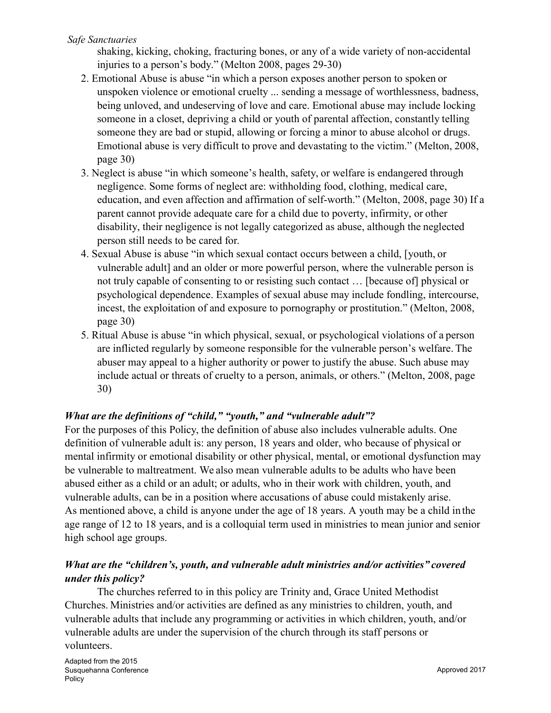#### *Safe Sanctuaries*

shaking, kicking, choking, fracturing bones, or any of a wide variety of non-accidental injuries to a person's body." (Melton 2008, pages 29-30)

- 2. Emotional Abuse is abuse "in which a person exposes another person to spoken or unspoken violence or emotional cruelty ... sending a message of worthlessness, badness, being unloved, and undeserving of love and care. Emotional abuse may include locking someone in a closet, depriving a child or youth of parental affection, constantly telling someone they are bad or stupid, allowing or forcing a minor to abuse alcohol or drugs. Emotional abuse is very difficult to prove and devastating to the victim." (Melton, 2008, page 30)
- 3. Neglect is abuse "in which someone's health, safety, or welfare is endangered through negligence. Some forms of neglect are: withholding food, clothing, medical care, education, and even affection and affirmation of self-worth." (Melton, 2008, page 30) If a parent cannot provide adequate care for a child due to poverty, infirmity, or other disability, their negligence is not legally categorized as abuse, although the neglected person still needs to be cared for.
- 4. Sexual Abuse is abuse "in which sexual contact occurs between a child, [youth, or vulnerable adult] and an older or more powerful person, where the vulnerable person is not truly capable of consenting to or resisting such contact … [because of] physical or psychological dependence. Examples of sexual abuse may include fondling, intercourse, incest, the exploitation of and exposure to pornography or prostitution." (Melton, 2008, page 30)
- 5. Ritual Abuse is abuse "in which physical, sexual, or psychological violations of a person are inflicted regularly by someone responsible for the vulnerable person's welfare. The abuser may appeal to a higher authority or power to justify the abuse. Such abuse may include actual or threats of cruelty to a person, animals, or others." (Melton, 2008, page 30)

#### *What are the definitions of "child," "youth," and "vulnerable adult"?*

For the purposes of this Policy, the definition of abuse also includes vulnerable adults. One definition of vulnerable adult is: any person, 18 years and older, who because of physical or mental infirmity or emotional disability or other physical, mental, or emotional dysfunction may be vulnerable to maltreatment. We also mean vulnerable adults to be adults who have been abused either as a child or an adult; or adults, who in their work with children, youth, and vulnerable adults, can be in a position where accusations of abuse could mistakenly arise. As mentioned above, a child is anyone under the age of 18 years. A youth may be a child in the age range of 12 to 18 years, and is a colloquial term used in ministries to mean junior and senior high school age groups.

### *What are the "children's, youth, and vulnerable adult ministries and/or activities" covered under this policy?*

The churches referred to in this policy are Trinity and, Grace United Methodist Churches. Ministries and/or activities are defined as any ministries to children, youth, and vulnerable adults that include any programming or activities in which children, youth, and/or vulnerable adults are under the supervision of the church through its staff persons or volunteers.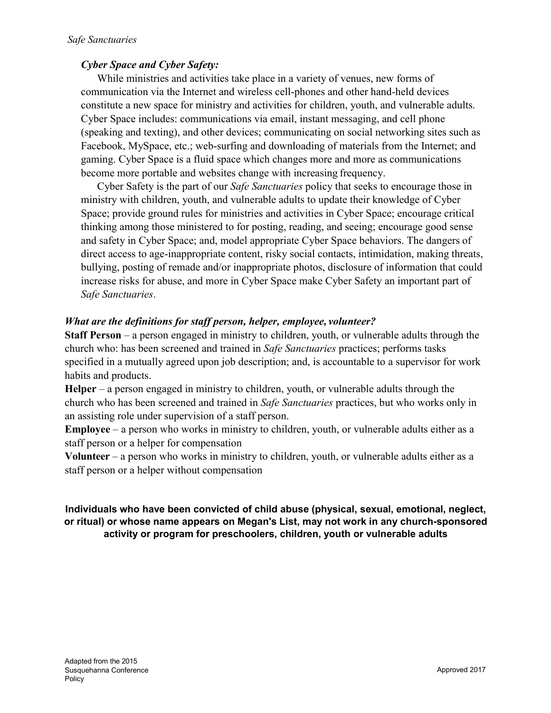### *Cyber Space and Cyber Safety:*

While ministries and activities take place in a variety of venues, new forms of communication via the Internet and wireless cell-phones and other hand-held devices constitute a new space for ministry and activities for children, youth, and vulnerable adults. Cyber Space includes: communications via email, instant messaging, and cell phone (speaking and texting), and other devices; communicating on social networking sites such as Facebook, MySpace, etc.; web-surfing and downloading of materials from the Internet; and gaming. Cyber Space is a fluid space which changes more and more as communications become more portable and websites change with increasing frequency.

Cyber Safety is the part of our *Safe Sanctuaries* policy that seeks to encourage those in ministry with children, youth, and vulnerable adults to update their knowledge of Cyber Space; provide ground rules for ministries and activities in Cyber Space; encourage critical thinking among those ministered to for posting, reading, and seeing; encourage good sense and safety in Cyber Space; and, model appropriate Cyber Space behaviors. The dangers of direct access to age-inappropriate content, risky social contacts, intimidation, making threats, bullying, posting of remade and/or inappropriate photos, disclosure of information that could increase risks for abuse, and more in Cyber Space make Cyber Safety an important part of *Safe Sanctuaries*.

#### *What are the definitions for staff person, helper, employee, volunteer?*

Staff Person – a person engaged in ministry to children, youth, or vulnerable adults through the church who: has been screened and trained in *Safe Sanctuaries* practices; performs tasks specified in a mutually agreed upon job description; and, is accountable to a supervisor for work habits and products.

Helper – a person engaged in ministry to children, youth, or vulnerable adults through the church who has been screened and trained in *Safe Sanctuaries* practices, but who works only in an assisting role under supervision of a staff person.

Employee – a person who works in ministry to children, youth, or vulnerable adults either as a staff person or a helper for compensation

Volunteer – a person who works in ministry to children, youth, or vulnerable adults either as a staff person or a helper without compensation

#### Individuals who have been convicted of child abuse (physical, sexual, emotional, neglect, or ritual) or whose name appears on Megan's List, may not work in any church-sponsored activity or program for preschoolers, children, youth or vulnerable adults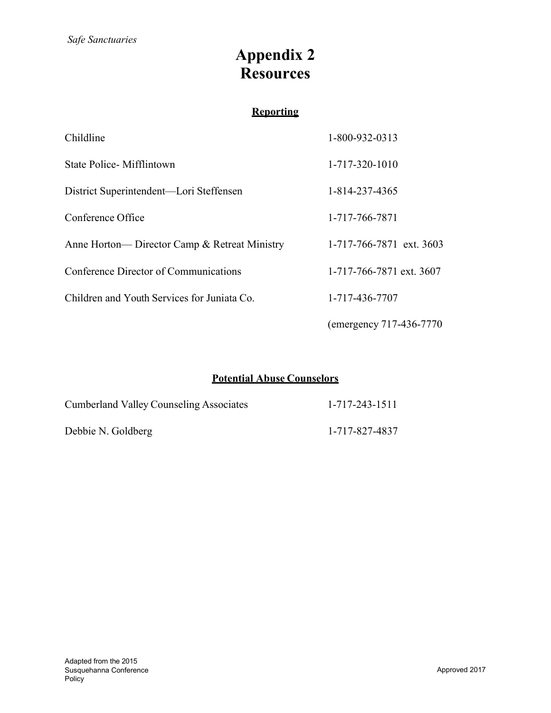# Appendix 2 **Resources**

### **Reporting**

| Childline                                     | 1-800-932-0313           |
|-----------------------------------------------|--------------------------|
| State Police - Mifflintown                    | 1-717-320-1010           |
| District Superintendent—Lori Steffensen       | 1-814-237-4365           |
| Conference Office                             | 1-717-766-7871           |
| Anne Horton— Director Camp & Retreat Ministry | 1-717-766-7871 ext. 3603 |
| Conference Director of Communications         | 1-717-766-7871 ext. 3607 |
| Children and Youth Services for Juniata Co.   | 1-717-436-7707           |
|                                               | (emergency 717-436-7770) |

### Potential Abuse Counselors

| <b>Cumberland Valley Counseling Associates</b> | 1-717-243-1511 |
|------------------------------------------------|----------------|
| Debbie N. Goldberg                             | 1-717-827-4837 |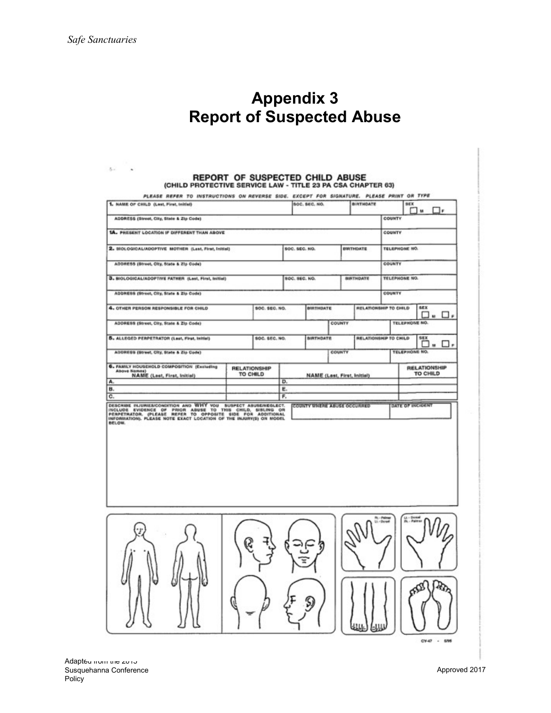$5<\cdots$   $\star$ 

# Appendix 3 Report of Suspected Abuse

# REPORT OF SUSPECTED CHILD ABUSE<br>(CHILD PROTECTIVE SERVICE LAW - TITLE 23 PA CSA CHAPTER 63)

| 1. NAME OF CHILD (Last, First, Initial)                                                                                                                                                                                                                       |                                 |    | <b>SOC. SEC. NO.</b>               | BIRTHDATE                   |                              | <b>SEX</b>               | <b>1</b> M                      | □₽       |
|---------------------------------------------------------------------------------------------------------------------------------------------------------------------------------------------------------------------------------------------------------------|---------------------------------|----|------------------------------------|-----------------------------|------------------------------|--------------------------|---------------------------------|----------|
| ADDRESS (Street, City, State & Zip Code)                                                                                                                                                                                                                      |                                 |    |                                    |                             |                              | COUNTY                   |                                 |          |
| 1A. PRESENT LOCATION IF DIFFERENT THAN ABOVE                                                                                                                                                                                                                  |                                 |    |                                    |                             |                              | COUNTY                   |                                 |          |
| 2. BIOLOGICALIADOPTIVE MOTHER (Last, First, Initial)                                                                                                                                                                                                          |                                 |    | <b>SOC. SEC. NO.</b>               | <b><i>DIRTHDATE</i></b>     |                              | <b>TELEPHONE NO.</b>     |                                 |          |
| ADDRESS (Street, City, State & Zlp Code)                                                                                                                                                                                                                      |                                 |    |                                    |                             |                              | COUNTY                   |                                 |          |
| 3. BIOLOGICALIADOPTIVE FATHER (Last, First, Initial)                                                                                                                                                                                                          |                                 |    | <b>SOC. SEC. NO.</b>               | <b>BIRTHDATE</b>            |                              | <b>TELEPHONE NO.</b>     |                                 |          |
| ADDRESS (Street, City, State & Zip Code)                                                                                                                                                                                                                      |                                 |    |                                    |                             |                              | COUNTY                   |                                 |          |
| 4. OTHER PERSON RESPONSIBLE FOR CHILD                                                                                                                                                                                                                         | <b>SOC. SEC. NO.</b>            |    | <b>BUITHDATE</b>                   |                             | RELATIONSHIP TO CHILD        |                          | <b>SEX</b><br>□. □.             |          |
| ADDRESS (Street, City, State & Zip Code)                                                                                                                                                                                                                      |                                 |    |                                    | COUNTY                      |                              | <b>TELEPHONE NO.</b>     |                                 |          |
| 5. ALLEGED PERPETRATOR (Lest, First, Initial)                                                                                                                                                                                                                 | <b>SOC. SEC. NO.</b>            |    | <b>BIRTHDATE</b>                   |                             | <b>RELATIONSHIP TO CHILD</b> |                          | SEX<br>E                        | $\cdots$ |
| ADDRESS (Street, City, State & Zip Code)                                                                                                                                                                                                                      |                                 |    |                                    | COUNTY                      |                              | <b>TELEPHONE NO.</b>     |                                 |          |
| 6. FAMILY HOUGEHOLD COMPOSITION (Excluding<br>Above Names)<br>NAME (Last, First, Initial)                                                                                                                                                                     | <b>RELATIONSHIP</b><br>TO CHILD |    |                                    | NAME (Last, First, Initial) |                              |                          | <b>RELATIONSHIP</b><br>TO CHILD |          |
| А.<br>в.                                                                                                                                                                                                                                                      |                                 | D. |                                    |                             |                              |                          |                                 |          |
|                                                                                                                                                                                                                                                               |                                 | E. |                                    |                             |                              |                          |                                 |          |
|                                                                                                                                                                                                                                                               |                                 | F. | <b>COUNTY WHERE ABUSE OCCURRED</b> |                             |                              | DATE OF INCIDENT         |                                 |          |
| c.<br>DESCRIBE NUMBERSCONSTION AND WHY YOU SUSPECT ABUSENEDLECT.<br>FERFETAATOR, (PLEASE REFER TO OPPOSITE SIDE FOR ADDITIONAL OR<br>FERFETAATOR, PLEASE NOTE EXACT LOCATION OF THE BUJURYS) ON MODEL<br>INFORMATION, PLEASE NOTE EXACT LOCAT<br><b>BELOW</b> |                                 |    |                                    |                             |                              |                          |                                 |          |
|                                                                                                                                                                                                                                                               |                                 |    |                                    |                             | <b>Br. - Pale</b>            |                          |                                 |          |
|                                                                                                                                                                                                                                                               |                                 |    |                                    |                             |                              | Lt - Donal<br>Dk - Palma | Ω                               | łQ.      |